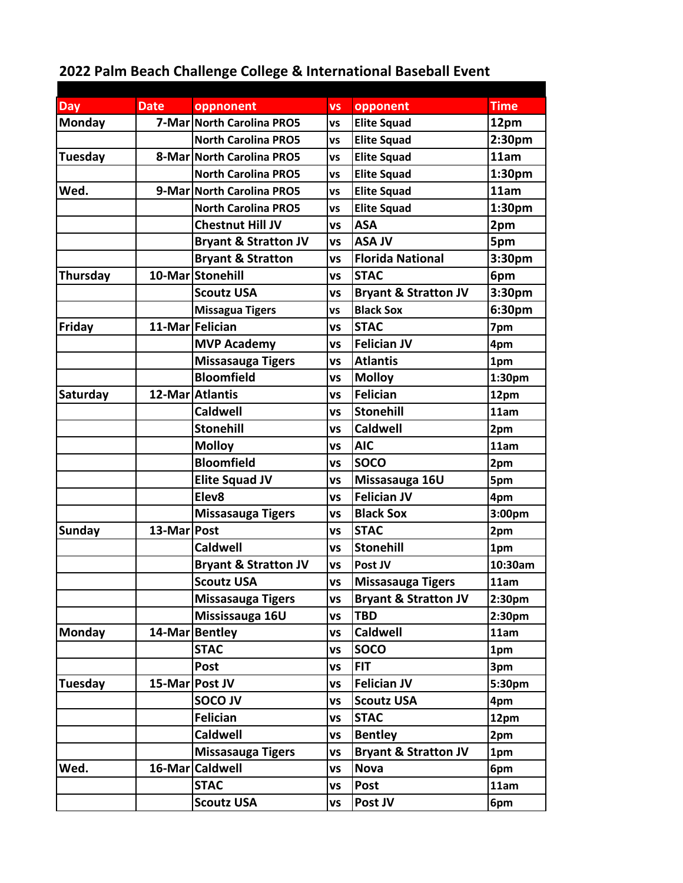## **2022 Palm Beach Challenge College & International Baseball Event**

| Day            | <b>Date</b> | oppnonent                       | <b>VS</b> | opponent                        | <b>Time</b>        |
|----------------|-------------|---------------------------------|-----------|---------------------------------|--------------------|
| <b>Monday</b>  |             | 7-Mar North Carolina PRO5       | <b>VS</b> | <b>Elite Squad</b>              | 12pm               |
|                |             | <b>North Carolina PRO5</b>      | VS        | <b>Elite Squad</b>              | 2:30pm             |
| <b>Tuesday</b> |             | 8-Mar North Carolina PRO5       | VS        | <b>Elite Squad</b>              | 11am               |
|                |             | <b>North Carolina PRO5</b>      | VS        | <b>Elite Squad</b>              | 1:30pm             |
| Wed.           |             | 9-Mar North Carolina PRO5       | VS        | <b>Elite Squad</b>              | 11am               |
|                |             | <b>North Carolina PRO5</b>      | VS        | <b>Elite Squad</b>              | 1:30pm             |
|                |             | <b>Chestnut Hill JV</b>         | <b>VS</b> | <b>ASA</b>                      | 2pm                |
|                |             | <b>Bryant &amp; Stratton JV</b> | <b>VS</b> | <b>ASA JV</b>                   | 5pm                |
|                |             | <b>Bryant &amp; Stratton</b>    | VS        | <b>Florida National</b>         | 3:30pm             |
| Thursday       |             | 10-Mar Stonehill                | <b>VS</b> | <b>STAC</b>                     | 6pm                |
|                |             | <b>Scoutz USA</b>               | VS        | <b>Bryant &amp; Stratton JV</b> | 3:30pm             |
|                |             | <b>Missagua Tigers</b>          | <b>VS</b> | <b>Black Sox</b>                | 6:30pm             |
| Friday         |             | 11-Mar Felician                 | VS        | <b>STAC</b>                     | 7pm                |
|                |             | <b>MVP Academy</b>              | <b>VS</b> | <b>Felician JV</b>              | 4pm                |
|                |             | <b>Missasauga Tigers</b>        | VS        | <b>Atlantis</b>                 | 1pm                |
|                |             | <b>Bloomfield</b>               | VS        | <b>Molloy</b>                   | 1:30 <sub>pm</sub> |
| Saturday       |             | 12-Mar Atlantis                 | VS        | <b>Felician</b>                 | 12pm               |
|                |             | <b>Caldwell</b>                 | VS        | <b>Stonehill</b>                | 11am               |
|                |             | <b>Stonehill</b>                | VS        | <b>Caldwell</b>                 | 2pm                |
|                |             | <b>Molloy</b>                   | <b>VS</b> | <b>AIC</b>                      | 11am               |
|                |             | <b>Bloomfield</b>               | <b>VS</b> | <b>SOCO</b>                     | 2pm                |
|                |             | <b>Elite Squad JV</b>           | VS        | Missasauga 16U                  | 5pm                |
|                |             | Elev8                           | <b>VS</b> | <b>Felician JV</b>              | 4pm                |
|                |             | <b>Missasauga Tigers</b>        | VS        | <b>Black Sox</b>                | 3:00pm             |
| <b>Sunday</b>  | 13-Mar Post |                                 | <b>VS</b> | <b>STAC</b>                     | 2pm                |
|                |             | <b>Caldwell</b>                 | <b>VS</b> | <b>Stonehill</b>                | 1pm                |
|                |             | <b>Bryant &amp; Stratton JV</b> | <b>VS</b> | Post JV                         | 10:30am            |
|                |             | <b>Scoutz USA</b>               | <b>VS</b> | <b>Missasauga Tigers</b>        | 11am               |
|                |             | <b>Missasauga Tigers</b>        | <b>VS</b> | <b>Bryant &amp; Stratton JV</b> | 2:30 <sub>pm</sub> |
|                |             | Mississauga 16U                 | VS        | <b>TBD</b>                      | 2:30 <sub>pm</sub> |
| <b>Monday</b>  |             | 14-Mar Bentley                  | VS        | <b>Caldwell</b>                 | 11am               |
|                |             | <b>STAC</b>                     | VS        | <b>SOCO</b>                     | 1pm                |
|                |             | <b>Post</b>                     | VS        | <b>FIT</b>                      | 3pm                |
| Tuesday        |             | 15-Mar Post JV                  | VS        | <b>Felician JV</b>              | 5:30pm             |
|                |             | <b>SOCOJV</b>                   | VS        | <b>Scoutz USA</b>               | 4pm                |
|                |             | <b>Felician</b>                 | VS        | <b>STAC</b>                     | 12pm               |
|                |             | <b>Caldwell</b>                 | VS        | <b>Bentley</b>                  | 2pm                |
|                |             | Missasauga Tigers               | <b>VS</b> | <b>Bryant &amp; Stratton JV</b> | 1pm                |
| Wed.           |             | 16-Mar Caldwell                 | <b>VS</b> | <b>Nova</b>                     | 6pm                |
|                |             | <b>STAC</b>                     | <b>VS</b> | Post                            | 11am               |
|                |             | <b>Scoutz USA</b>               | VS        | Post JV                         | 6pm                |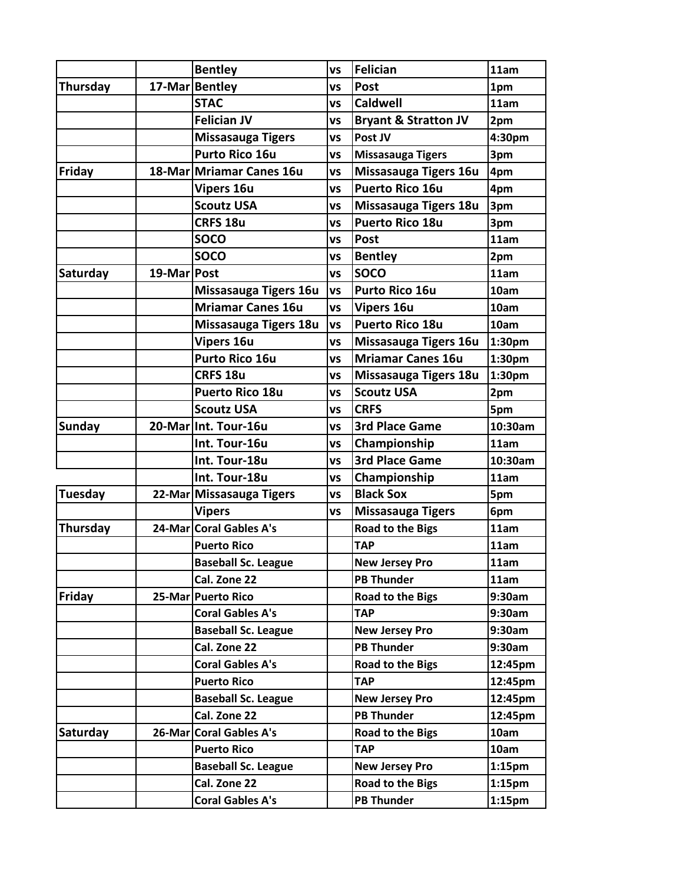|               |               | <b>Bentley</b>             | <b>VS</b> | <b>Felician</b>                 | 11am               |
|---------------|---------------|----------------------------|-----------|---------------------------------|--------------------|
| Thursday      |               | 17-Mar Bentley             | VS        | <b>Post</b>                     | 1pm                |
|               |               | <b>STAC</b>                | <b>VS</b> | <b>Caldwell</b>                 | 11am               |
|               |               | <b>Felician JV</b>         | VS        | <b>Bryant &amp; Stratton JV</b> | 2pm                |
|               |               | <b>Missasauga Tigers</b>   | VS        | Post JV                         | 4:30pm             |
|               |               | <b>Purto Rico 16u</b>      | VS        | <b>Missasauga Tigers</b>        | 3pm                |
| Friday        |               | 18-Mar Mriamar Canes 16u   | <b>VS</b> | Missasauga Tigers 16u           | 4pm                |
|               |               | <b>Vipers 16u</b>          | VS        | <b>Puerto Rico 16u</b>          | 4pm                |
|               |               | <b>Scoutz USA</b>          | VS        | Missasauga Tigers 18u           | 3pm                |
|               |               | CRFS 18u                   | VS        | <b>Puerto Rico 18u</b>          | 3pm                |
|               |               | <b>SOCO</b>                | VS        | <b>Post</b>                     | 11am               |
|               |               | <b>SOCO</b>                | VS        | <b>Bentley</b>                  | 2pm                |
| Saturday      | 19-Mar   Post |                            | <b>VS</b> | <b>SOCO</b>                     | 11am               |
|               |               | Missasauga Tigers 16u      | <b>VS</b> | Purto Rico 16u                  | 10am               |
|               |               | <b>Mriamar Canes 16u</b>   | <b>VS</b> | <b>Vipers 16u</b>               | 10am               |
|               |               | Missasauga Tigers 18u      | <b>VS</b> | <b>Puerto Rico 18u</b>          | 10am               |
|               |               | <b>Vipers 16u</b>          | <b>VS</b> | Missasauga Tigers 16u           | 1:30pm             |
|               |               | <b>Purto Rico 16u</b>      | <b>VS</b> | <b>Mriamar Canes 16u</b>        | 1:30pm             |
|               |               | <b>CRFS 18u</b>            | VS        | Missasauga Tigers 18u           | 1:30pm             |
|               |               | <b>Puerto Rico 18u</b>     | VS        | <b>Scoutz USA</b>               | 2pm                |
|               |               | <b>Scoutz USA</b>          | VS        | <b>CRFS</b>                     | 5pm                |
| <b>Sunday</b> |               | 20-MarlInt. Tour-16u       | VS        | <b>3rd Place Game</b>           | 10:30am            |
|               |               | Int. Tour-16u              | VS        | Championship                    | 11am               |
|               |               | Int. Tour-18u              | <b>VS</b> | <b>3rd Place Game</b>           | 10:30am            |
|               |               | Int. Tour-18u              | VS        | Championship                    | 11am               |
| Tuesday       |               | 22-Mar Missasauga Tigers   | VS        | <b>Black Sox</b>                | 5pm                |
|               |               | <b>Vipers</b>              | <b>VS</b> | <b>Missasauga Tigers</b>        | 6pm                |
| Thursday      |               | 24-Mar Coral Gables A's    |           | <b>Road to the Bigs</b>         | 11am               |
|               |               | <b>Puerto Rico</b>         |           | <b>TAP</b>                      | 11am               |
|               |               | <b>Baseball Sc. League</b> |           | <b>New Jersey Pro</b>           | 11am               |
|               |               | Cal. Zone 22               |           | <b>PB Thunder</b>               | 11am               |
| Friday        |               | 25-Mar Puerto Rico         |           | <b>Road to the Bigs</b>         | 9:30am             |
|               |               | <b>Coral Gables A's</b>    |           | <b>TAP</b>                      | 9:30am             |
|               |               | <b>Baseball Sc. League</b> |           | <b>New Jersey Pro</b>           | 9:30am             |
|               |               | Cal. Zone 22               |           | <b>PB Thunder</b>               | 9:30am             |
|               |               | <b>Coral Gables A's</b>    |           | <b>Road to the Bigs</b>         | 12:45pm            |
|               |               | <b>Puerto Rico</b>         |           | <b>TAP</b>                      | 12:45pm            |
|               |               | <b>Baseball Sc. League</b> |           | <b>New Jersey Pro</b>           | 12:45pm            |
|               |               | Cal. Zone 22               |           | <b>PB Thunder</b>               | 12:45pm            |
| Saturday      |               | 26-Mar Coral Gables A's    |           | Road to the Bigs                | 10am               |
|               |               | <b>Puerto Rico</b>         |           | <b>TAP</b>                      | 10am               |
|               |               | <b>Baseball Sc. League</b> |           | <b>New Jersey Pro</b>           | 1:15 <sub>pm</sub> |
|               |               | Cal. Zone 22               |           | <b>Road to the Bigs</b>         | 1:15 <sub>pm</sub> |
|               |               | <b>Coral Gables A's</b>    |           | <b>PB Thunder</b>               | 1:15 <sub>pm</sub> |